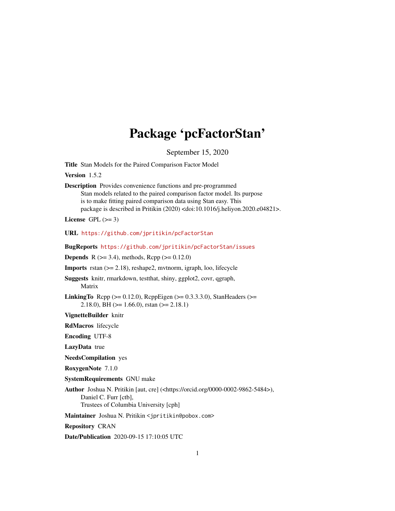# Package 'pcFactorStan'

September 15, 2020

<span id="page-0-0"></span>Title Stan Models for the Paired Comparison Factor Model

Version 1.5.2

Description Provides convenience functions and pre-programmed Stan models related to the paired comparison factor model. Its purpose is to make fitting paired comparison data using Stan easy. This package is described in Pritikin (2020) <doi:10.1016/j.heliyon.2020.e04821>.

License GPL  $(>= 3)$ 

URL <https://github.com/jpritikin/pcFactorStan>

BugReports <https://github.com/jpritikin/pcFactorStan/issues>

**Depends** R ( $>= 3.4$ ), methods, Rcpp ( $>= 0.12.0$ )

Imports rstan (>= 2.18), reshape2, mvtnorm, igraph, loo, lifecycle

Suggests knitr, rmarkdown, testthat, shiny, ggplot2, covr, qgraph, Matrix

**LinkingTo** Rcpp ( $>= 0.12.0$ ), RcppEigen ( $>= 0.3.3.3.0$ ), StanHeaders ( $>=$ 2.18.0), BH  $(>= 1.66.0)$ , rstan  $(>= 2.18.1)$ 

VignetteBuilder knitr

RdMacros lifecycle

Encoding UTF-8

LazyData true

NeedsCompilation yes

RoxygenNote 7.1.0

SystemRequirements GNU make

Author Joshua N. Pritikin [aut, cre] (<https://orcid.org/0000-0002-9862-5484>), Daniel C. Furr [ctb], Trustees of Columbia University [cph]

Maintainer Joshua N. Pritikin <jpritikin@pobox.com>

Repository CRAN

Date/Publication 2020-09-15 17:10:05 UTC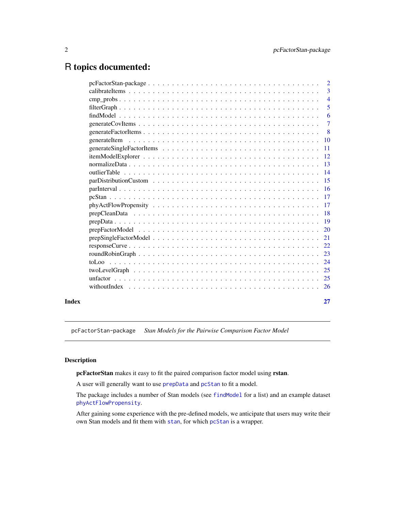# <span id="page-1-0"></span>R topics documented:

| Index |                                                                                                                   | 27                        |
|-------|-------------------------------------------------------------------------------------------------------------------|---------------------------|
|       |                                                                                                                   |                           |
|       |                                                                                                                   |                           |
|       |                                                                                                                   |                           |
|       |                                                                                                                   |                           |
|       |                                                                                                                   |                           |
|       |                                                                                                                   |                           |
|       |                                                                                                                   |                           |
|       |                                                                                                                   |                           |
|       |                                                                                                                   |                           |
|       |                                                                                                                   |                           |
|       |                                                                                                                   |                           |
|       |                                                                                                                   |                           |
|       |                                                                                                                   |                           |
|       |                                                                                                                   |                           |
|       |                                                                                                                   |                           |
|       |                                                                                                                   |                           |
|       |                                                                                                                   |                           |
|       |                                                                                                                   |                           |
|       |                                                                                                                   |                           |
|       |                                                                                                                   | $\overline{\phantom{0}}8$ |
|       |                                                                                                                   | $\overline{7}$            |
|       |                                                                                                                   | 6                         |
|       |                                                                                                                   | 5                         |
|       |                                                                                                                   | $\overline{4}$            |
|       |                                                                                                                   | $\overline{3}$            |
|       | $pcFactorStan-package \ldots \ldots \ldots \ldots \ldots \ldots \ldots \ldots \ldots \ldots \ldots \ldots \ldots$ | $\overline{2}$            |

pcFactorStan-package *Stan Models for the Pairwise Comparison Factor Model*

# Description

pcFactorStan makes it easy to fit the paired comparison factor model using rstan.

A user will generally want to use [prepData](#page-18-1) and [pcStan](#page-16-1) to fit a model.

The package includes a number of Stan models (see [findModel](#page-5-1) for a list) and an example dataset [phyActFlowPropensity](#page-16-2).

After gaining some experience with the pre-defined models, we anticipate that users may write their own Stan models and fit them with [stan](#page-0-0), for which [pcStan](#page-16-1) is a wrapper.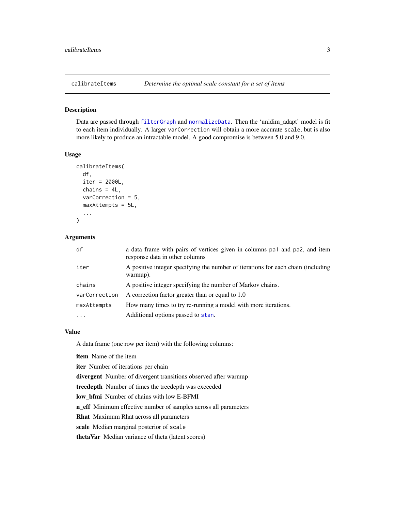<span id="page-2-1"></span><span id="page-2-0"></span>

Data are passed through [filterGraph](#page-4-1) and [normalizeData](#page-12-1). Then the 'unidim\_adapt' model is fit to each item individually. A larger varCorrection will obtain a more accurate scale, but is also more likely to produce an intractable model. A good compromise is between 5.0 and 9.0.

#### Usage

```
calibrateItems(
  df,
  iter = 2000L,
 chains = 4L,
  varCorrection = 5,
 maxAttempts = 5L,
  ...
)
```
# Arguments

| df            | a data frame with pairs of vertices given in columns pa1 and pa2, and item<br>response data in other columns |
|---------------|--------------------------------------------------------------------------------------------------------------|
| iter          | A positive integer specifying the number of iterations for each chain (including<br>warmup).                 |
| chains        | A positive integer specifying the number of Markov chains.                                                   |
| varCorrection | A correction factor greater than or equal to 1.0                                                             |
| maxAttempts   | How many times to try re-running a model with more iterations.                                               |
| $\ddotsc$     | Additional options passed to stan.                                                                           |

#### Value

A data.frame (one row per item) with the following columns:

item Name of the item

iter Number of iterations per chain

divergent Number of divergent transitions observed after warmup

treedepth Number of times the treedepth was exceeded

low\_bfmi Number of chains with low E-BFMI

n\_eff Minimum effective number of samples across all parameters

Rhat Maximum Rhat across all parameters

scale Median marginal posterior of scale

thetaVar Median variance of theta (latent scores)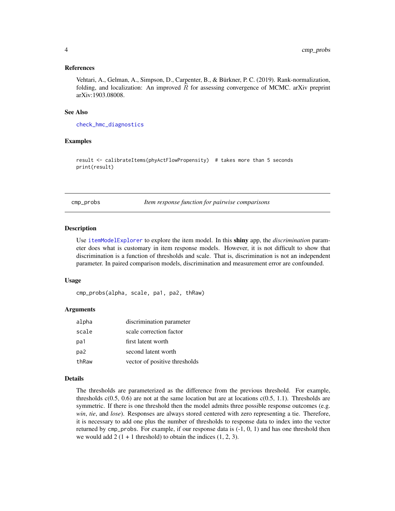#### <span id="page-3-0"></span>References

Vehtari, A., Gelman, A., Simpson, D., Carpenter, B., & Bürkner, P. C. (2019). Rank-normalization, folding, and localization: An improved  $\hat{R}$  for assessing convergence of MCMC. arXiv preprint arXiv:1903.08008.

#### See Also

[check\\_hmc\\_diagnostics](#page-0-0)

#### Examples

result <- calibrateItems(phyActFlowPropensity) # takes more than 5 seconds print(result)

<span id="page-3-1"></span>cmp\_probs *Item response function for pairwise comparisons*

#### **Description**

Use [itemModelExplorer](#page-11-1) to explore the item model. In this shiny app, the *discrimination* parameter does what is customary in item response models. However, it is not difficult to show that discrimination is a function of thresholds and scale. That is, discrimination is not an independent parameter. In paired comparison models, discrimination and measurement error are confounded.

#### Usage

cmp\_probs(alpha, scale, pa1, pa2, thRaw)

#### Arguments

| alpha | discrimination parameter      |
|-------|-------------------------------|
| scale | scale correction factor       |
| pa1   | first latent worth            |
| pa2   | second latent worth           |
| thRaw | vector of positive thresholds |

#### Details

The thresholds are parameterized as the difference from the previous threshold. For example, thresholds  $c(0.5, 0.6)$  are not at the same location but are at locations  $c(0.5, 1.1)$ . Thresholds are symmetric. If there is one threshold then the model admits three possible response outcomes (e.g. *win*, *tie*, and *lose*). Responses are always stored centered with zero representing a tie. Therefore, it is necessary to add one plus the number of thresholds to response data to index into the vector returned by cmp\_probs. For example, if our response data is (-1, 0, 1) and has one threshold then we would add  $2(1 + 1$  threshold) to obtain the indices  $(1, 2, 3)$ .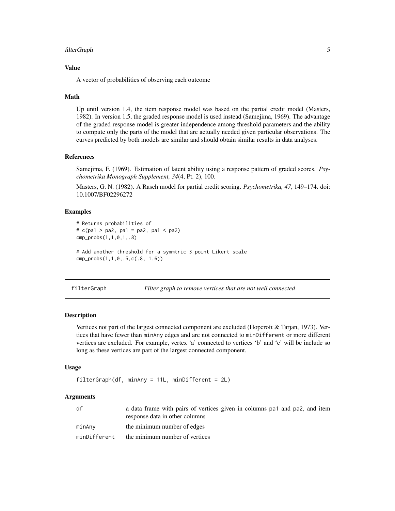#### <span id="page-4-0"></span>filterGraph 5

# Value

A vector of probabilities of observing each outcome

#### Math

Up until version 1.4, the item response model was based on the partial credit model (Masters, 1982). In version 1.5, the graded response model is used instead (Samejima, 1969). The advantage of the graded response model is greater independence among threshold parameters and the ability to compute only the parts of the model that are actually needed given particular observations. The curves predicted by both models are similar and should obtain similar results in data analyses.

# References

Samejima, F. (1969). Estimation of latent ability using a response pattern of graded scores. *Psychometrika Monograph Supplement, 34*(4, Pt. 2), 100.

Masters, G. N. (1982). A Rasch model for partial credit scoring. *Psychometrika, 47*, 149–174. doi: 10.1007/BF02296272

# Examples

```
# Returns probabilities of
# c(pa1 > pa2, pa1 = pa2, pa1 < pa2)
cmp_probs(1,1,0,1,.8)
```
# Add another threshold for a symmtric 3 point Likert scale cmp\_probs(1,1,0,.5,c(.8, 1.6))

<span id="page-4-1"></span>filterGraph *Filter graph to remove vertices that are not well connected*

# Description

Vertices not part of the largest connected component are excluded (Hopcroft & Tarjan, 1973). Vertices that have fewer than minAny edges and are not connected to minDifferent or more different vertices are excluded. For example, vertex 'a' connected to vertices 'b' and 'c' will be include so long as these vertices are part of the largest connected component.

#### Usage

```
filterGraph(df, minAny = 11L, minDifferent = 2L)
```
#### Arguments

| df           | a data frame with pairs of vertices given in columns pa <sub>1</sub> and pa <sub>2</sub> , and item<br>response data in other columns |
|--------------|---------------------------------------------------------------------------------------------------------------------------------------|
| minAnv       | the minimum number of edges                                                                                                           |
| minDifferent | the minimum number of vertices                                                                                                        |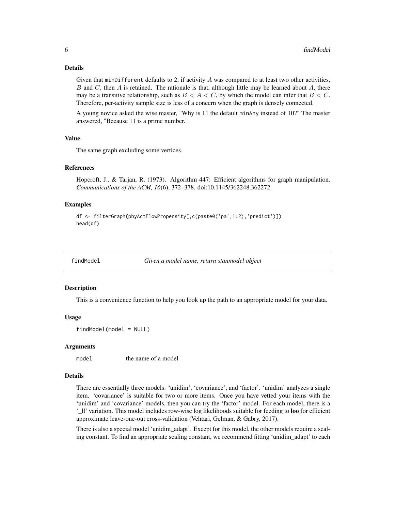#### <span id="page-5-0"></span>Details

Given that minDifferent defaults to 2, if activity  $A$  was compared to at least two other activities, B and C, then A is retained. The rationale is that, although little may be learned about  $A$ , there may be a transitive relationship, such as  $B < A < C$ , by which the model can infer that  $B < C$ . Therefore, per-activity sample size is less of a concern when the graph is densely connected.

A young novice asked the wise master, "Why is 11 the default minAny instead of 10?" The master answered, "Because 11 is a prime number."

# Value

The same graph excluding some vertices.

# References

Hopcroft, J., & Tarjan, R. (1973). Algorithm 447: Efficient algorithms for graph manipulation. *Communications of the ACM, 16*(6), 372–378. doi:10.1145/362248.362272

# Examples

```
df <- filterGraph(phyActFlowPropensity[,c(paste0('pa',1:2),'predict')])
head(df)
```
<span id="page-5-1"></span>

findModel *Given a model name, return stanmodel object*

#### Description

This is a convenience function to help you look up the path to an appropriate model for your data.

#### Usage

```
findModel(model = NULL)
```
#### Arguments

model the name of a model

# Details

There are essentially three models: 'unidim', 'covariance', and 'factor'. 'unidim' analyzes a single item. 'covariance' is suitable for two or more items. Once you have vetted your items with the 'unidim' and 'covariance' models, then you can try the 'factor' model. For each model, there is a '\_ll' variation. This model includes row-wise log likelihoods suitable for feeding to loo for efficient approximate leave-one-out cross-validation (Vehtari, Gelman, & Gabry, 2017).

There is also a special model 'unidim\_adapt'. Except for this model, the other models require a scaling constant. To find an appropriate scaling constant, we recommend fitting 'unidim\_adapt' to each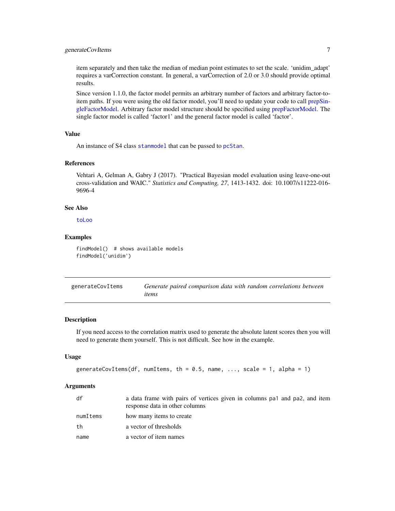# <span id="page-6-0"></span>generateCovItems 7

item separately and then take the median of median point estimates to set the scale. 'unidim\_adapt' requires a varCorrection constant. In general, a varCorrection of 2.0 or 3.0 should provide optimal results.

Since version 1.1.0, the factor model permits an arbitrary number of factors and arbitrary factor-toitem paths. If you were using the old factor model, you'll need to update your code to call [prepSin](#page-20-1)[gleFactorModel.](#page-20-1) Arbitrary factor model structure should be specified using [prepFactorModel.](#page-19-1) The single factor model is called 'factor1' and the general factor model is called 'factor'.

#### Value

An instance of S4 class [stanmodel](#page-0-0) that can be passed to [pcStan](#page-16-1).

#### References

Vehtari A, Gelman A, Gabry J (2017). "Practical Bayesian model evaluation using leave-one-out cross-validation and WAIC." *Statistics and Computing, 27*, 1413-1432. doi: 10.1007/s11222-016- 9696-4

# See Also

[toLoo](#page-23-1)

#### Examples

findModel() # shows available models findModel('unidim')

<span id="page-6-1"></span>

| generateCovItems | Generate paired comparison data with random correlations between |
|------------------|------------------------------------------------------------------|
|                  | items                                                            |

#### Description

If you need access to the correlation matrix used to generate the absolute latent scores then you will need to generate them yourself. This is not difficult. See how in the example.

#### Usage

```
generateCovItems(df, numItems, th = 0.5, name, ..., scale = 1, alpha = 1)
```
#### Arguments

| df       | a data frame with pairs of vertices given in columns pa1 and pa2, and item<br>response data in other columns |
|----------|--------------------------------------------------------------------------------------------------------------|
| numItems | how many items to create                                                                                     |
| th       | a vector of thresholds                                                                                       |
| name     | a vector of item names                                                                                       |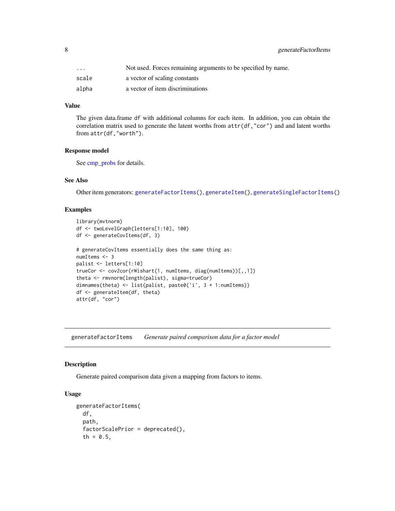<span id="page-7-0"></span>

| $\cdot$ $\cdot$ $\cdot$ | Not used. Forces remaining arguments to be specified by name. |
|-------------------------|---------------------------------------------------------------|
| scale                   | a vector of scaling constants                                 |
| alpha                   | a vector of item discriminations                              |

# Value

The given data.frame df with additional columns for each item. In addition, you can obtain the correlation matrix used to generate the latent worths from  $attr(df, "cor")$  and and latent worths from attr(df,"worth").

#### Response model

See [cmp\\_probs](#page-3-1) for details.

# See Also

Other item generators: [generateFactorItems\(](#page-7-1)), [generateItem\(](#page-9-1)), [generateSingleFactorItems\(](#page-10-1))

# Examples

```
library(mvtnorm)
df <- twoLevelGraph(letters[1:10], 100)
df <- generateCovItems(df, 3)
# generateCovItems essentially does the same thing as:
numItems <- 3
palist <- letters[1:10]
trueCor <- cov2cor(rWishart(1, numItems, diag(numItems))[,,1])
theta <- rmvnorm(length(palist), sigma=trueCor)
dimnames(theta) <- list(palist, paste0('i', 3 + 1:numItems))
df <- generateItem(df, theta)
attr(df, "cor")
```
<span id="page-7-1"></span>generateFactorItems *Generate paired comparison data for a factor model*

#### Description

Generate paired comparison data given a mapping from factors to items.

# Usage

```
generateFactorItems(
 df,
 path,
  factorScalePrior = deprecated(),
  th = 0.5,
```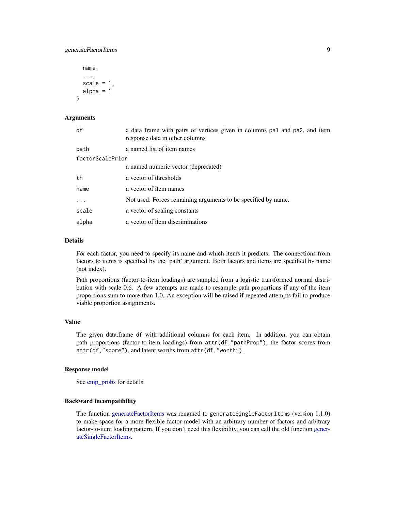```
name,
  ...,
  scale = 1,
 alpha = 1)
```
# Arguments

| df               | a data frame with pairs of vertices given in columns pa1 and pa2, and item<br>response data in other columns |
|------------------|--------------------------------------------------------------------------------------------------------------|
| path             | a named list of item names                                                                                   |
| factorScalePrior |                                                                                                              |
|                  | a named numeric vector (deprecated)                                                                          |
| th               | a vector of thresholds                                                                                       |
| name             | a vector of item names                                                                                       |
| .                | Not used. Forces remaining arguments to be specified by name.                                                |
| scale            | a vector of scaling constants                                                                                |
| alpha            | a vector of item discriminations                                                                             |

# Details

For each factor, you need to specify its name and which items it predicts. The connections from factors to items is specified by the 'path' argument. Both factors and items are specified by name (not index).

Path proportions (factor-to-item loadings) are sampled from a logistic transformed normal distribution with scale 0.6. A few attempts are made to resample path proportions if any of the item proportions sum to more than 1.0. An exception will be raised if repeated attempts fail to produce viable proportion assignments.

#### Value

The given data.frame df with additional columns for each item. In addition, you can obtain path proportions (factor-to-item loadings) from attr(df,"pathProp"), the factor scores from attr(df,"score"), and latent worths from attr(df,"worth").

#### Response model

See [cmp\\_probs](#page-3-1) for details.

# Backward incompatibility

The function [generateFactorItems](#page-7-1) was renamed to generateSingleFactorItems (version 1.1.0) to make space for a more flexible factor model with an arbitrary number of factors and arbitrary factor-to-item loading pattern. If you don't need this flexibility, you can call the old function [gener](#page-10-1)[ateSingleFactorItems.](#page-10-1)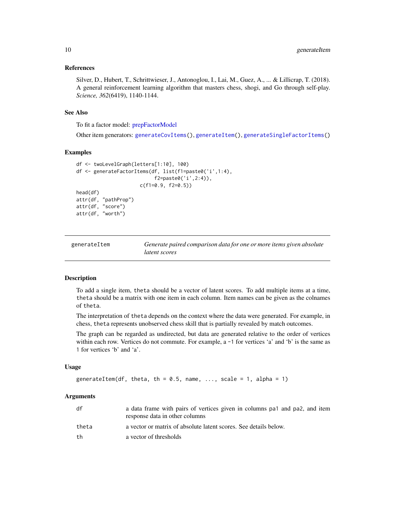#### <span id="page-9-0"></span>References

Silver, D., Hubert, T., Schrittwieser, J., Antonoglou, I., Lai, M., Guez, A., ... & Lillicrap, T. (2018). A general reinforcement learning algorithm that masters chess, shogi, and Go through self-play. *Science, 362*(6419), 1140-1144.

#### See Also

To fit a factor model: [prepFactorModel](#page-19-1)

Other item generators: [generateCovItems\(](#page-6-1)), [generateItem\(](#page-9-1)), [generateSingleFactorItems\(](#page-10-1))

# Examples

```
df <- twoLevelGraph(letters[1:10], 100)
df <- generateFactorItems(df, list(f1=paste0('i',1:4),
                           f2=paste0('i',2:4)),
                      c(f1=0.9, f2=0.5)head(df)
attr(df, "pathProp")
attr(df, "score")
attr(df, "worth")
```
<span id="page-9-1"></span>

| generateItem | Generate paired comparison data for one or more items given absolute |
|--------------|----------------------------------------------------------------------|
|              | latent scores                                                        |

#### Description

To add a single item, theta should be a vector of latent scores. To add multiple items at a time, theta should be a matrix with one item in each column. Item names can be given as the colnames of theta.

The interpretation of theta depends on the context where the data were generated. For example, in chess, theta represents unobserved chess skill that is partially revealed by match outcomes.

The graph can be regarded as undirected, but data are generated relative to the order of vertices within each row. Vertices do not commute. For example, a  $-1$  for vertices 'a' and 'b' is the same as 1 for vertices 'b' and 'a'.

#### Usage

```
generateItem(df, theta, th = 0.5, name, ..., scale = 1, alpha = 1)
```
#### **Arguments**

| df    | a data frame with pairs of vertices given in columns pa <sub>1</sub> and pa <sub>2</sub> , and item<br>response data in other columns |
|-------|---------------------------------------------------------------------------------------------------------------------------------------|
| theta | a vector or matrix of absolute latent scores. See details below.                                                                      |
| th    | a vector of thresholds                                                                                                                |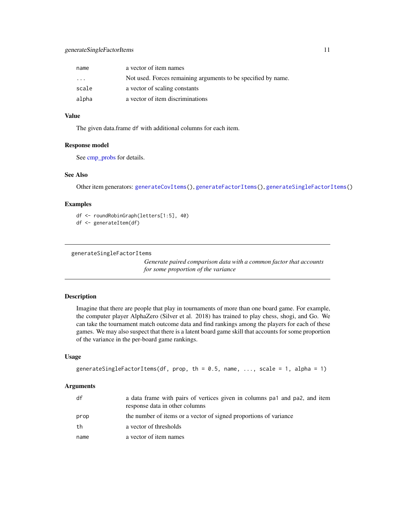# <span id="page-10-0"></span>generateSingleFactorItems 11

| name    | a vector of item names                                        |
|---------|---------------------------------------------------------------|
| $\cdot$ | Not used. Forces remaining arguments to be specified by name. |
| scale   | a vector of scaling constants                                 |
| alpha   | a vector of item discriminations                              |

#### Value

The given data.frame df with additional columns for each item.

# Response model

See [cmp\\_probs](#page-3-1) for details.

# See Also

Other item generators: [generateCovItems\(](#page-6-1)), [generateFactorItems\(](#page-7-1)), [generateSingleFactorItems\(](#page-10-1))

# Examples

```
df <- roundRobinGraph(letters[1:5], 40)
```

```
df <- generateItem(df)
```

```
generateSingleFactorItems
```
*Generate paired comparison data with a common factor that accounts for some proportion of the variance*

# Description

Imagine that there are people that play in tournaments of more than one board game. For example, the computer player AlphaZero (Silver et al. 2018) has trained to play chess, shogi, and Go. We can take the tournament match outcome data and find rankings among the players for each of these games. We may also suspect that there is a latent board game skill that accounts for some proportion of the variance in the per-board game rankings.

#### Usage

```
generateSingleFactorItems(df, prop, th = 0.5, name, ..., scale = 1, alpha = 1)
```
#### Arguments

| df   | a data frame with pairs of vertices given in columns pa1 and pa2, and item<br>response data in other columns |
|------|--------------------------------------------------------------------------------------------------------------|
| prop | the number of items or a vector of signed proportions of variance                                            |
| th   | a vector of thresholds                                                                                       |
| name | a vector of item names                                                                                       |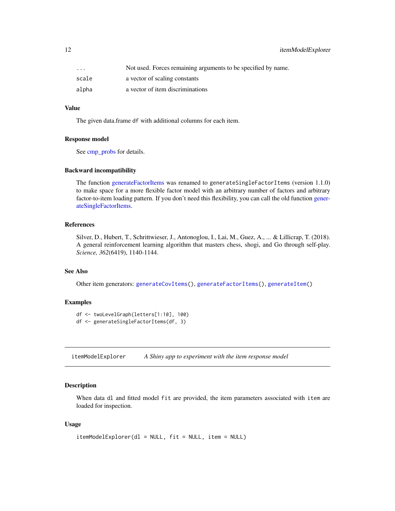<span id="page-11-0"></span>

| $\cdot$ $\cdot$ $\cdot$ | Not used. Forces remaining arguments to be specified by name. |
|-------------------------|---------------------------------------------------------------|
| scale                   | a vector of scaling constants                                 |
| alpha                   | a vector of item discriminations                              |

# Value

The given data.frame df with additional columns for each item.

#### Response model

See [cmp\\_probs](#page-3-1) for details.

#### Backward incompatibility

The function [generateFactorItems](#page-7-1) was renamed to generateSingleFactorItems (version 1.1.0) to make space for a more flexible factor model with an arbitrary number of factors and arbitrary factor-to-item loading pattern. If you don't need this flexibility, you can call the old function [gener](#page-10-1)[ateSingleFactorItems.](#page-10-1)

# References

Silver, D., Hubert, T., Schrittwieser, J., Antonoglou, I., Lai, M., Guez, A., ... & Lillicrap, T. (2018). A general reinforcement learning algorithm that masters chess, shogi, and Go through self-play. *Science, 362*(6419), 1140-1144.

# See Also

Other item generators: [generateCovItems\(](#page-6-1)), [generateFactorItems\(](#page-7-1)), [generateItem\(](#page-9-1))

# **Examples**

```
df <- twoLevelGraph(letters[1:10], 100)
df <- generateSingleFactorItems(df, 3)
```
<span id="page-11-1"></span>itemModelExplorer *A Shiny app to experiment with the item response model*

# Description

When data dl and fitted model fit are provided, the item parameters associated with item are loaded for inspection.

#### Usage

```
itemModelExplorer(dl = NULL, fit = NULL, item = NULL)
```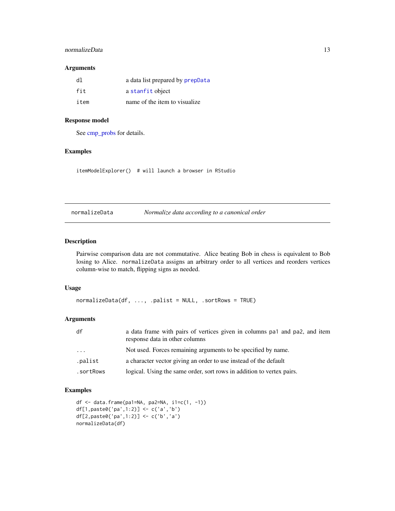# <span id="page-12-0"></span>normalizeData 13

#### Arguments

| d1   | a data list prepared by prepData |
|------|----------------------------------|
| fit  | a stanfit object                 |
| item | name of the item to visualize.   |

# Response model

See [cmp\\_probs](#page-3-1) for details.

# Examples

itemModelExplorer() # will launch a browser in RStudio

<span id="page-12-1"></span>normalizeData *Normalize data according to a canonical order*

# Description

Pairwise comparison data are not commutative. Alice beating Bob in chess is equivalent to Bob losing to Alice. normalizeData assigns an arbitrary order to all vertices and reorders vertices column-wise to match, flipping signs as needed.

# Usage

```
normalizeData(df, ..., .palist = NULL, .sortRows = TRUE)
```
# Arguments

| df        | a data frame with pairs of vertices given in columns pa1 and pa2, and item<br>response data in other columns |
|-----------|--------------------------------------------------------------------------------------------------------------|
| $\cdots$  | Not used. Forces remaining arguments to be specified by name.                                                |
| .palist   | a character vector giving an order to use instead of the default                                             |
| .sortRows | logical. Using the same order, sort rows in addition to vertex pairs.                                        |

# Examples

```
df <- data.frame(pa1=NA, pa2=NA, i1=c(1, -1))
df[1,paste0('pa',1:2)] <- c('a','b')
df[2,paste0('pa',1:2)] <- c('b','a')
normalizeData(df)
```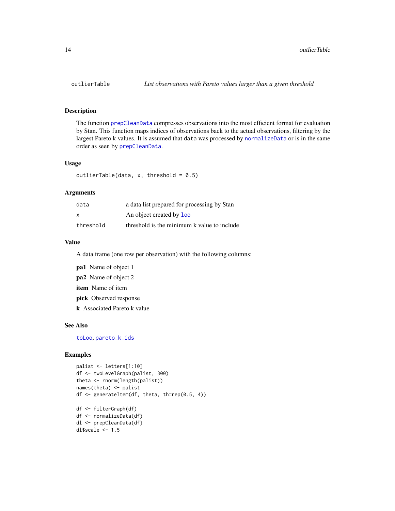The function [prepCleanData](#page-17-1) compresses observations into the most efficient format for evaluation by Stan. This function maps indices of observations back to the actual observations, filtering by the largest Pareto k values. It is assumed that data was processed by [normalizeData](#page-12-1) or is in the same order as seen by [prepCleanData](#page-17-1).

#### Usage

```
outlierTable(data, x, threshold = 0.5)
```
#### Arguments

| data      | a data list prepared for processing by Stan |
|-----------|---------------------------------------------|
| x         | An object created by <b>loo</b>             |
| threshold | threshold is the minimum k value to include |

#### Value

A data.frame (one row per observation) with the following columns:

pa1 Name of object 1

pa2 Name of object 2

item Name of item

pick Observed response

k Associated Pareto k value

#### See Also

[toLoo](#page-23-1), [pareto\\_k\\_ids](#page-0-0)

# Examples

```
palist <- letters[1:10]
df <- twoLevelGraph(palist, 300)
theta <- rnorm(length(palist))
names(theta) <- palist
df <- generateItem(df, theta, th=rep(0.5, 4))
df <- filterGraph(df)
df <- normalizeData(df)
dl <- prepCleanData(df)
dl$scale <-1.5
```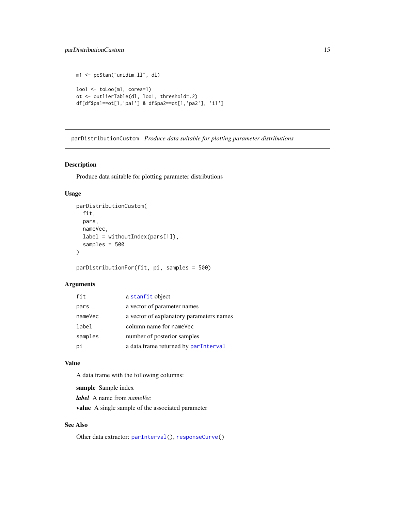# <span id="page-14-0"></span>parDistributionCustom 15

```
m1 <- pcStan("unidim_ll", dl)
\text{loo1} \leftarrow \text{to} \text{Loo(m1}, \text{cores=1})ot <- outlierTable(dl, loo1, threshold=.2)
df[df$pa1==ot[1,'pa1'] & df$pa2==ot[1,'pa2'], 'i1']
```
<span id="page-14-1"></span>parDistributionCustom *Produce data suitable for plotting parameter distributions*

#### Description

Produce data suitable for plotting parameter distributions

#### Usage

```
parDistributionCustom(
  fit,
 pars,
 nameVec,
  label = withoutIndex(pars[1]),
  samples = 500
)
```
parDistributionFor(fit, pi, samples = 500)

# Arguments

| fit     | a stanfit object                         |
|---------|------------------------------------------|
| pars    | a vector of parameter names              |
| nameVec | a vector of explanatory parameters names |
| label   | column name for nameVec                  |
| samples | number of posterior samples              |
| рi      | a data.frame returned by parInterval     |

# Value

A data.frame with the following columns:

sample Sample index

*label* A name from *nameVec*

value A single sample of the associated parameter

# See Also

Other data extractor: [parInterval\(](#page-15-1)), [responseCurve\(](#page-21-1))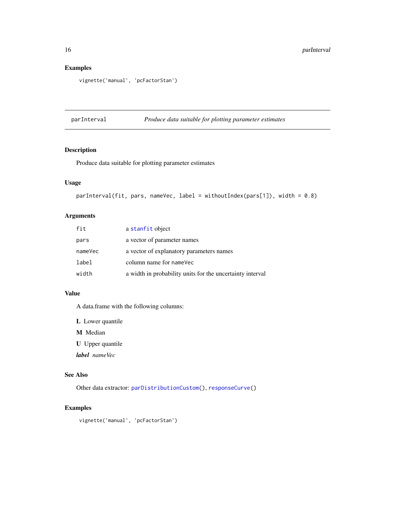# Examples

```
vignette('manual', 'pcFactorStan')
```
<span id="page-15-1"></span>parInterval *Produce data suitable for plotting parameter estimates*

# Description

Produce data suitable for plotting parameter estimates

# Usage

```
parInterval(fit, pars, nameVec, label = withoutIndex(pars[1]), width = 0.8)
```
# Arguments

| fit     | a stanfit object                                          |
|---------|-----------------------------------------------------------|
| pars    | a vector of parameter names                               |
| nameVec | a vector of explanatory parameters names                  |
| label   | column name for nameVec                                   |
| width   | a width in probability units for the uncertainty interval |

#### Value

A data.frame with the following columns:

L Lower quantile

M Median

U Upper quantile

*label nameVec*

# See Also

Other data extractor: [parDistributionCustom\(](#page-14-1)), [responseCurve\(](#page-21-1))

# Examples

vignette('manual', 'pcFactorStan')

<span id="page-15-0"></span>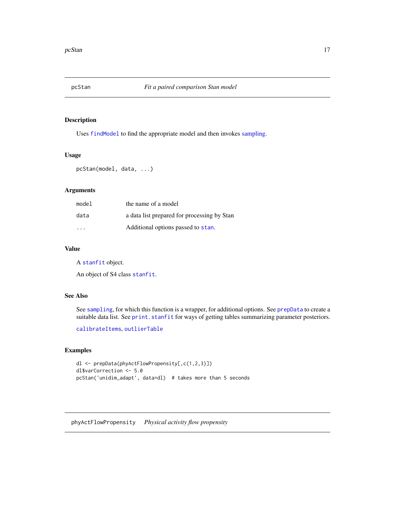<span id="page-16-1"></span><span id="page-16-0"></span>

Uses [findModel](#page-5-1) to find the appropriate model and then invokes [sampling.](#page-0-0)

#### Usage

pcStan(model, data, ...)

# Arguments

| model | the name of a model                         |
|-------|---------------------------------------------|
| data  | a data list prepared for processing by Stan |
| .     | Additional options passed to stan.          |

# Value

A [stanfit](#page-0-0) object.

An object of S4 class [stanfit](#page-0-0).

# See Also

See [sampling](#page-0-0), for which this function is a wrapper, for additional options. See [prepData](#page-18-1) to create a suitable data list. See [print.stanfit](#page-0-0) for ways of getting tables summarizing parameter posteriors.

[calibrateItems](#page-2-1), [outlierTable](#page-13-1)

# Examples

```
dl <- prepData(phyActFlowPropensity[,c(1,2,3)])
dl$varCorrection <- 5.0
pcStan('unidim_adapt', data=dl) # takes more than 5 seconds
```
<span id="page-16-2"></span>phyActFlowPropensity *Physical activity flow propensity*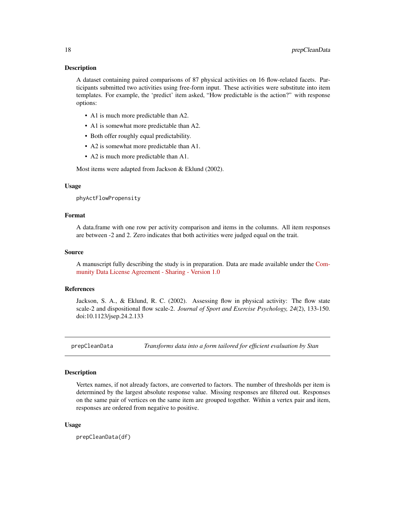<span id="page-17-0"></span>A dataset containing paired comparisons of 87 physical activities on 16 flow-related facets. Participants submitted two activities using free-form input. These activities were substitute into item templates. For example, the 'predict' item asked, "How predictable is the action?" with response options:

- A1 is much more predictable than A2.
- A1 is somewhat more predictable than A2.
- Both offer roughly equal predictability.
- A2 is somewhat more predictable than A1.
- A2 is much more predictable than A1.

Most items were adapted from Jackson & Eklund (2002).

#### Usage

phyActFlowPropensity

# Format

A data.frame with one row per activity comparison and items in the columns. All item responses are between -2 and 2. Zero indicates that both activities were judged equal on the trait.

#### Source

A manuscript fully describing the study is in preparation. Data are made available under the [Com](https://cdla.io/sharing-1-0/)[munity Data License Agreement - Sharing - Version 1.0](https://cdla.io/sharing-1-0/)

#### References

Jackson, S. A., & Eklund, R. C. (2002). Assessing flow in physical activity: The flow state scale-2 and dispositional flow scale-2. *Journal of Sport and Exercise Psychology, 24*(2), 133-150. doi:10.1123/jsep.24.2.133

<span id="page-17-1"></span>prepCleanData *Transforms data into a form tailored for efficient evaluation by Stan*

# **Description**

Vertex names, if not already factors, are converted to factors. The number of thresholds per item is determined by the largest absolute response value. Missing responses are filtered out. Responses on the same pair of vertices on the same item are grouped together. Within a vertex pair and item, responses are ordered from negative to positive.

#### Usage

prepCleanData(df)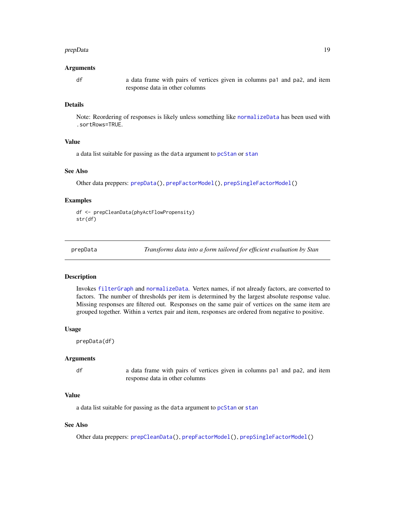#### <span id="page-18-0"></span>prepData and the set of the set of the set of the set of the set of the set of the set of the set of the set of the set of the set of the set of the set of the set of the set of the set of the set of the set of the set of

#### Arguments

df a data frame with pairs of vertices given in columns pa1 and pa2, and item response data in other columns

#### Details

Note: Reordering of responses is likely unless something like [normalizeData](#page-12-1) has been used with .sortRows=TRUE.

# Value

a data list suitable for passing as the data argument to [pcStan](#page-16-1) or [stan](#page-0-0)

# See Also

Other data preppers: [prepData\(](#page-18-1)), [prepFactorModel\(](#page-19-1)), [prepSingleFactorModel\(](#page-20-1))

#### Examples

```
df <- prepCleanData(phyActFlowPropensity)
str(df)
```
<span id="page-18-1"></span>

prepData *Transforms data into a form tailored for efficient evaluation by Stan*

#### **Description**

Invokes [filterGraph](#page-4-1) and [normalizeData](#page-12-1). Vertex names, if not already factors, are converted to factors. The number of thresholds per item is determined by the largest absolute response value. Missing responses are filtered out. Responses on the same pair of vertices on the same item are grouped together. Within a vertex pair and item, responses are ordered from negative to positive.

# Usage

prepData(df)

#### Arguments

df a data frame with pairs of vertices given in columns pa1 and pa2, and item response data in other columns

# Value

a data list suitable for passing as the data argument to [pcStan](#page-16-1) or [stan](#page-0-0)

#### See Also

Other data preppers: [prepCleanData\(](#page-17-1)), [prepFactorModel\(](#page-19-1)), [prepSingleFactorModel\(](#page-20-1))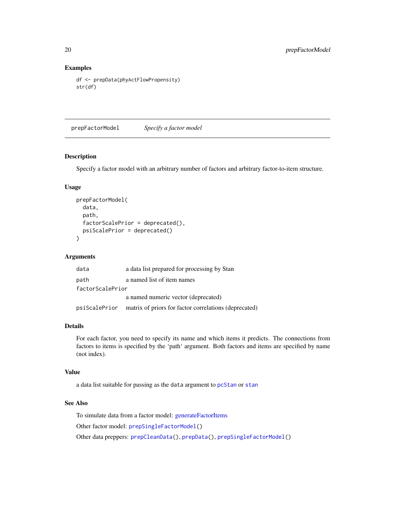# Examples

```
df <- prepData(phyActFlowPropensity)
str(df)
```
<span id="page-19-1"></span>prepFactorModel *Specify a factor model*

# Description

Specify a factor model with an arbitrary number of factors and arbitrary factor-to-item structure.

#### Usage

```
prepFactorModel(
  data,
  path,
  factorScalePrior = deprecated(),
  psiScalePrior = deprecated()
)
```
#### Arguments

| data             | a data list prepared for processing by Stan                         |
|------------------|---------------------------------------------------------------------|
| path             | a named list of item names                                          |
| factorScalePrior |                                                                     |
|                  | a named numeric vector (deprecated)                                 |
|                  | psiScalePrior matrix of priors for factor correlations (deprecated) |

#### Details

For each factor, you need to specify its name and which items it predicts. The connections from factors to items is specified by the 'path' argument. Both factors and items are specified by name (not index).

# Value

a data list suitable for passing as the data argument to [pcStan](#page-16-1) or [stan](#page-0-0)

# See Also

To simulate data from a factor model: [generateFactorItems](#page-7-1) Other factor model: [prepSingleFactorModel\(](#page-20-1)) Other data preppers: [prepCleanData\(](#page-17-1)), [prepData\(](#page-18-1)), [prepSingleFactorModel\(](#page-20-1))

<span id="page-19-0"></span>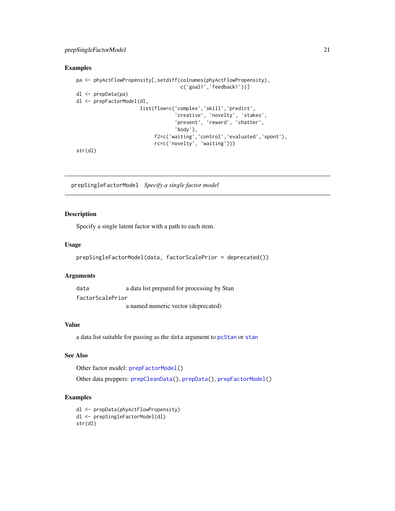# <span id="page-20-0"></span>prepSingleFactorModel 21

#### Examples

```
pa <- phyActFlowPropensity[,setdiff(colnames(phyActFlowPropensity),
                                    c('goal1','feedback1'))]
dl <- prepData(pa)
dl <- prepFactorModel(dl,
                      list(flow=c('complex','skill','predict',
                                   'creative', 'novelty', 'stakes',
                                   'present', 'reward', 'chatter',
                                   'body'),
                           f2=c('waiting','control','evaluated','spont'),
                           rc=c('novelty', 'waiting')))
```
str(dl)

<span id="page-20-1"></span>prepSingleFactorModel *Specify a single factor model*

# Description

Specify a single latent factor with a path to each item.

#### Usage

```
prepSingleFactorModel(data, factorScalePrior = deprecated())
```
#### Arguments

data a data list prepared for processing by Stan

factorScalePrior

a named numeric vector (deprecated)

# Value

a data list suitable for passing as the data argument to [pcStan](#page-16-1) or [stan](#page-0-0)

# See Also

Other factor model: [prepFactorModel\(](#page-19-1))

Other data preppers: [prepCleanData\(](#page-17-1)), [prepData\(](#page-18-1)), [prepFactorModel\(](#page-19-1))

# Examples

```
dl <- prepData(phyActFlowPropensity)
dl <- prepSingleFactorModel(dl)
str(dl)
```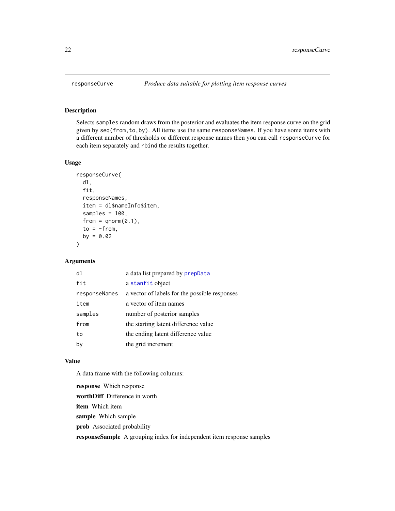Selects samples random draws from the posterior and evaluates the item response curve on the grid given by seq(from,to,by). All items use the same responseNames. If you have some items with a different number of thresholds or different response names then you can call responseCurve for each item separately and rbind the results together.

#### Usage

```
responseCurve(
  dl,
  fit,
  responseNames,
  item = dl$nameInfo$item,
  samples = 100,
  from = qnorm(0.1),to = -from,by = 0.02)
```
# Arguments

| d1            | a data list prepared by prepData              |
|---------------|-----------------------------------------------|
| fit           | a stanfit object                              |
| responseNames | a vector of labels for the possible responses |
| item          | a vector of item names                        |
| samples       | number of posterior samples                   |
| from          | the starting latent difference value          |
| to            | the ending latent difference value            |
| by            | the grid increment                            |

#### Value

A data.frame with the following columns:

response Which response worthDiff Difference in worth item Which item sample Which sample prob Associated probability responseSample A grouping index for independent item response samples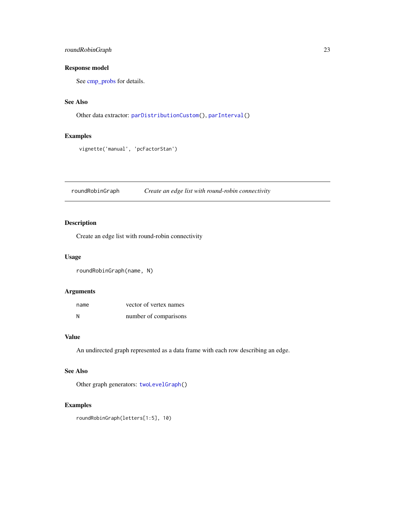# <span id="page-22-0"></span>roundRobinGraph 23

# Response model

See [cmp\\_probs](#page-3-1) for details.

# See Also

```
Other data extractor: parDistributionCustom(), parInterval()
```
# Examples

```
vignette('manual', 'pcFactorStan')
```
<span id="page-22-1"></span>roundRobinGraph *Create an edge list with round-robin connectivity*

# Description

Create an edge list with round-robin connectivity

#### Usage

roundRobinGraph(name, N)

# Arguments

| name | vector of vertex names |
|------|------------------------|
| N    | number of comparisons  |

# Value

An undirected graph represented as a data frame with each row describing an edge.

# See Also

Other graph generators: [twoLevelGraph\(](#page-24-1))

# Examples

roundRobinGraph(letters[1:5], 10)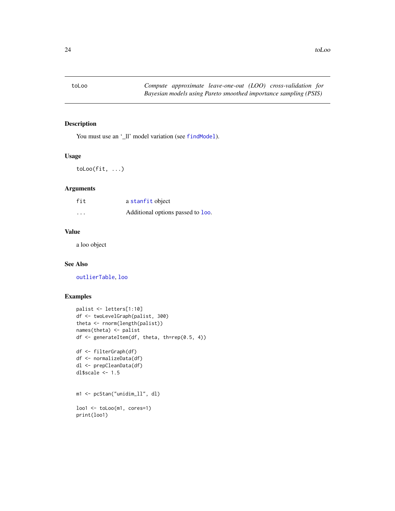<span id="page-23-1"></span><span id="page-23-0"></span>

You must use an '\_ll' model variation (see [findModel](#page-5-1)).

# Usage

toLoo(fit, ...)

# Arguments

| fit      | a stanfit object                  |
|----------|-----------------------------------|
| $\cdots$ | Additional options passed to loo. |

# Value

a loo object

# See Also

[outlierTable](#page-13-1), [loo](#page-0-0)

# Examples

```
palist <- letters[1:10]
df <- twoLevelGraph(palist, 300)
theta <- rnorm(length(palist))
names(theta) <- palist
df <- generateItem(df, theta, th=rep(0.5, 4))
df <- filterGraph(df)
df <- normalizeData(df)
dl <- prepCleanData(df)
dl$scale <- 1.5
m1 <- pcStan("unidim_ll", dl)
loo1 <- toLoo(m1, cores=1)
print(loo1)
```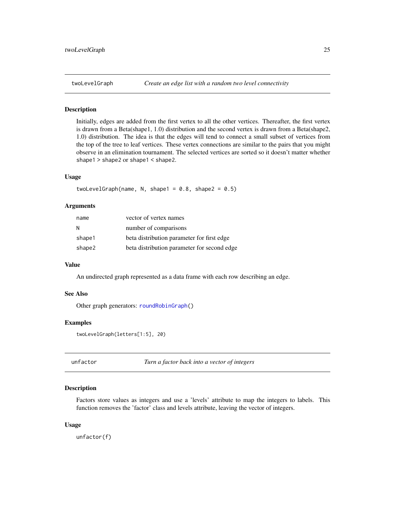<span id="page-24-1"></span><span id="page-24-0"></span>

Initially, edges are added from the first vertex to all the other vertices. Thereafter, the first vertex is drawn from a Beta(shape1, 1.0) distribution and the second vertex is drawn from a Beta(shape2, 1.0) distribution. The idea is that the edges will tend to connect a small subset of vertices from the top of the tree to leaf vertices. These vertex connections are similar to the pairs that you might observe in an elimination tournament. The selected vertices are sorted so it doesn't matter whether shape1 > shape2 or shape1 < shape2.

#### Usage

twoLevelGraph(name, N, shape1 =  $0.8$ , shape2 =  $0.5$ )

### Arguments

| name   | vector of vertex names                      |
|--------|---------------------------------------------|
| N      | number of comparisons                       |
| shape1 | beta distribution parameter for first edge  |
| shape2 | beta distribution parameter for second edge |

#### Value

An undirected graph represented as a data frame with each row describing an edge.

#### See Also

Other graph generators: [roundRobinGraph\(](#page-22-1))

# Examples

```
twoLevelGraph(letters[1:5], 20)
```
unfactor *Turn a factor back into a vector of integers*

#### **Description**

Factors store values as integers and use a 'levels' attribute to map the integers to labels. This function removes the 'factor' class and levels attribute, leaving the vector of integers.

#### Usage

unfactor(f)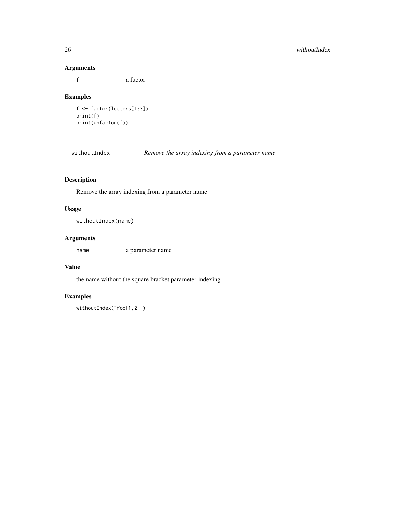# Arguments

f a factor

# Examples

```
f <- factor(letters[1:3])
print(f)
print(unfactor(f))
```
withoutIndex *Remove the array indexing from a parameter name*

# Description

Remove the array indexing from a parameter name

# Usage

withoutIndex(name)

# Arguments

name a parameter name

#### Value

the name without the square bracket parameter indexing

# Examples

withoutIndex("foo[1,2]")

<span id="page-25-0"></span>